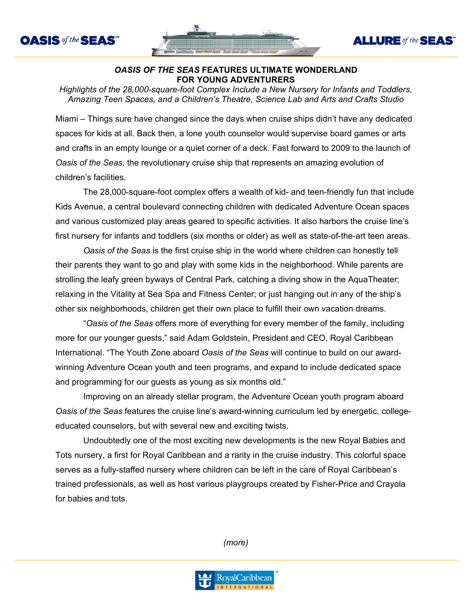



**ALLURE** of the **SEAS** 

## *OASIS OF THE SEAS* **FEATURES ULTIMATE WONDERLAND FOR YOUNG ADVENTURERS**

*Highlights of the 28,000-square-foot Complex Include a New Nursery for Infants and Toddlers, Amazing Teen Spaces, and a Children's Theatre, Science Lab and Arts and Crafts Studio*

Miami – Things sure have changed since the days when cruise ships didn't have any dedicated spaces for kids at all. Back then, a lone youth counselor would supervise board games or arts and crafts in an empty lounge or a quiet corner of a deck. Fast forward to 2009 to the launch of *Oasis of the Seas,* the revolutionary cruise ship that represents an amazing evolution of children's facilities.

The 28,000-square-foot complex offers a wealth of kid- and teen-friendly fun that include Kids Avenue, a central boulevard connecting children with dedicated Adventure Ocean spaces and various customized play areas geared to specific activities. It also harbors the cruise line's first nursery for infants and toddlers (six months or older) as well as state-of-the-art teen areas.

*Oasis of the Seas* is the first cruise ship in the world where children can honestly tell their parents they want to go and play with some kids in the neighborhood. While parents are strolling the leafy green byways of Central Park, catching a diving show in the AquaTheater; relaxing in the Vitality at Sea Spa and Fitness Center; or just hanging out in any of the ship's other six neighborhoods, children get their own place to fulfill their own vacation dreams.

"*Oasis of the Seas* offers more of everything for every member of the family, including more for our younger guests," said Adam Goldstein, President and CEO, Royal Caribbean International. "The Youth Zone aboard *Oasis of the Seas* will continue to build on our awardwinning Adventure Ocean youth and teen programs, and expand to include dedicated space and programming for our guests as young as six months old."

Improving on an already stellar program, the Adventure Ocean youth program aboard *Oasis of the Seas* features the cruise line's award-winning curriculum led by energetic, collegeeducated counselors, but with several new and exciting twists.

Undoubtedly one of the most exciting new developments is the new Royal Babies and Tots nursery, a first for Royal Caribbean and a rarity in the cruise industry. This colorful space serves as a fully-staffed nursery where children can be left in the care of Royal Caribbean's trained professionals, as well as host various playgroups created by Fisher-Price and Crayola for babies and tots.

*(more)*

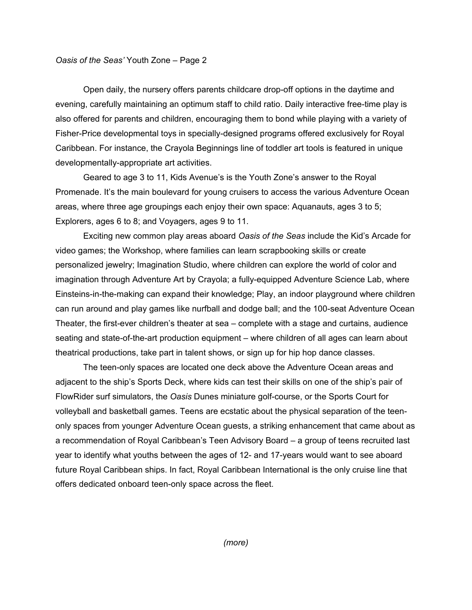## *Oasis of the Seas'* Youth Zone – Page 2

Open daily, the nursery offers parents childcare drop-off options in the daytime and evening, carefully maintaining an optimum staff to child ratio. Daily interactive free-time play is also offered for parents and children, encouraging them to bond while playing with a variety of Fisher-Price developmental toys in specially-designed programs offered exclusively for Royal Caribbean. For instance, the Crayola Beginnings line of toddler art tools is featured in unique developmentally-appropriate art activities.

Geared to age 3 to 11, Kids Avenue's is the Youth Zone's answer to the Royal Promenade. It's the main boulevard for young cruisers to access the various Adventure Ocean areas, where three age groupings each enjoy their own space: Aquanauts, ages 3 to 5; Explorers, ages 6 to 8; and Voyagers, ages 9 to 11.

Exciting new common play areas aboard *Oasis of the Seas* include the Kid's Arcade for video games; the Workshop, where families can learn scrapbooking skills or create personalized jewelry; Imagination Studio, where children can explore the world of color and imagination through Adventure Art by Crayola; a fully-equipped Adventure Science Lab, where Einsteins-in-the-making can expand their knowledge; Play, an indoor playground where children can run around and play games like nurfball and dodge ball; and the 100-seat Adventure Ocean Theater, the first-ever children's theater at sea – complete with a stage and curtains, audience seating and state-of-the-art production equipment – where children of all ages can learn about theatrical productions, take part in talent shows, or sign up for hip hop dance classes.

The teen-only spaces are located one deck above the Adventure Ocean areas and adjacent to the ship's Sports Deck, where kids can test their skills on one of the ship's pair of FlowRider surf simulators, the *Oasis* Dunes miniature golf-course, or the Sports Court for volleyball and basketball games. Teens are ecstatic about the physical separation of the teenonly spaces from younger Adventure Ocean guests, a striking enhancement that came about as a recommendation of Royal Caribbean's Teen Advisory Board – a group of teens recruited last year to identify what youths between the ages of 12- and 17-years would want to see aboard future Royal Caribbean ships. In fact, Royal Caribbean International is the only cruise line that offers dedicated onboard teen-only space across the fleet.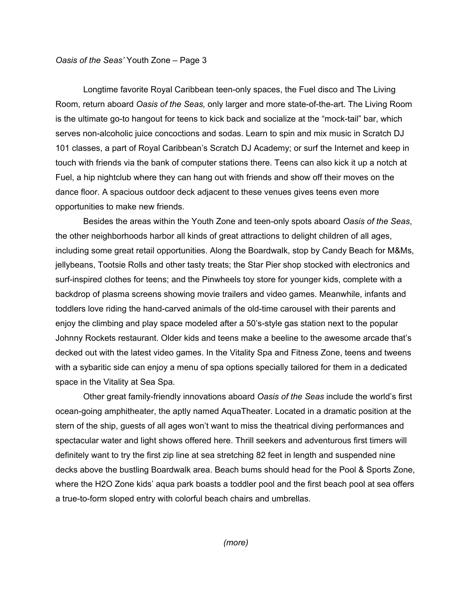## *Oasis of the Seas'* Youth Zone – Page 3

Longtime favorite Royal Caribbean teen-only spaces, the Fuel disco and The Living Room, return aboard *Oasis of the Seas,* only larger and more state-of-the-art. The Living Room is the ultimate go-to hangout for teens to kick back and socialize at the "mock-tail" bar, which serves non-alcoholic juice concoctions and sodas. Learn to spin and mix music in Scratch DJ 101 classes, a part of Royal Caribbean's Scratch DJ Academy; or surf the Internet and keep in touch with friends via the bank of computer stations there. Teens can also kick it up a notch at Fuel, a hip nightclub where they can hang out with friends and show off their moves on the dance floor. A spacious outdoor deck adjacent to these venues gives teens even more opportunities to make new friends.

Besides the areas within the Youth Zone and teen-only spots aboard *Oasis of the Seas*, the other neighborhoods harbor all kinds of great attractions to delight children of all ages, including some great retail opportunities. Along the Boardwalk, stop by Candy Beach for M&Ms, jellybeans, Tootsie Rolls and other tasty treats; the Star Pier shop stocked with electronics and surf-inspired clothes for teens; and the Pinwheels toy store for younger kids, complete with a backdrop of plasma screens showing movie trailers and video games. Meanwhile, infants and toddlers love riding the hand-carved animals of the old-time carousel with their parents and enjoy the climbing and play space modeled after a 50's-style gas station next to the popular Johnny Rockets restaurant. Older kids and teens make a beeline to the awesome arcade that's decked out with the latest video games. In the Vitality Spa and Fitness Zone, teens and tweens with a sybaritic side can enjoy a menu of spa options specially tailored for them in a dedicated space in the Vitality at Sea Spa.

Other great family-friendly innovations aboard *Oasis of the Seas* include the world's first ocean-going amphitheater, the aptly named AquaTheater. Located in a dramatic position at the stern of the ship, guests of all ages won't want to miss the theatrical diving performances and spectacular water and light shows offered here. Thrill seekers and adventurous first timers will definitely want to try the first zip line at sea stretching 82 feet in length and suspended nine decks above the bustling Boardwalk area. Beach bums should head for the Pool & Sports Zone, where the H2O Zone kids' aqua park boasts a toddler pool and the first beach pool at sea offers a true-to-form sloped entry with colorful beach chairs and umbrellas.

*(more)*